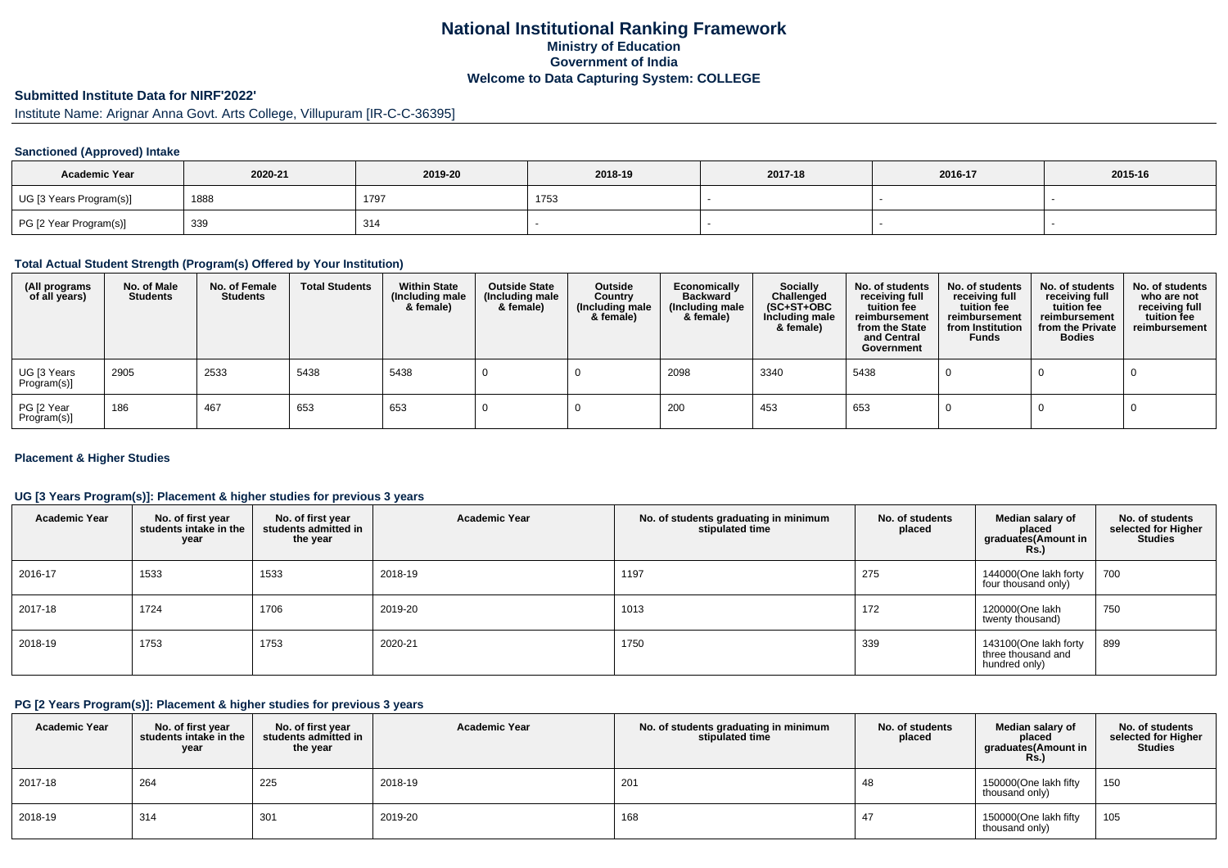# **National Institutional Ranking FrameworkMinistry of Education Government of IndiaWelcome to Data Capturing System: COLLEGE**

# **Submitted Institute Data for NIRF'2022'**

Institute Name: Arignar Anna Govt. Arts College, Villupuram [IR-C-C-36395]

# **Sanctioned (Approved) Intake**

| <b>Academic Year</b>    | 2020-21<br>2019-20 |      | 2018-19 | 2017-18 | 2016-17 | 2015-16 |
|-------------------------|--------------------|------|---------|---------|---------|---------|
| UG [3 Years Program(s)] | 1888               | 1797 | 1753    |         |         |         |
| PG [2 Year Program(s)]  | 339                | 314  |         |         |         |         |

#### **Total Actual Student Strength (Program(s) Offered by Your Institution)**

| (All programs<br>of all years) | No. of Male<br><b>Students</b> | No. of Female<br>Students | <b>Total Students</b> | <b>Within State</b><br>(Including male<br>& female) | <b>Outside State</b><br>(Including male<br>& female) | Outside<br>Country<br>(Including male<br>& female) | Economically<br><b>Backward</b><br>(Including male<br>& female) | <b>Socially</b><br>Challenged<br>$(SC+ST+OBC)$<br>Including male<br>& female) | No. of students<br>receiving full<br>tuition fee<br>reimbursement<br>from the State<br>and Central<br>Government | No. of students<br>receiving full<br>tuition fee<br>reimbursement<br>from Institution<br><b>Funds</b> | No. of students<br>receiving full<br>tuition fee<br>reimbursement<br>from the Private<br><b>Bodies</b> | No. of students<br>who are not<br>receiving full<br>tuition fee<br>reimbursement |
|--------------------------------|--------------------------------|---------------------------|-----------------------|-----------------------------------------------------|------------------------------------------------------|----------------------------------------------------|-----------------------------------------------------------------|-------------------------------------------------------------------------------|------------------------------------------------------------------------------------------------------------------|-------------------------------------------------------------------------------------------------------|--------------------------------------------------------------------------------------------------------|----------------------------------------------------------------------------------|
| UG [3 Years<br>Program(s)]     | 2905                           | 2533                      | 5438                  | 5438                                                |                                                      |                                                    | 2098                                                            | 3340                                                                          | 5438                                                                                                             |                                                                                                       |                                                                                                        |                                                                                  |
| PG [2 Year<br>Program(s)]      | 186                            | 467                       | 653                   | 653                                                 |                                                      |                                                    | 200                                                             | 453                                                                           | 653                                                                                                              |                                                                                                       |                                                                                                        |                                                                                  |

# **Placement & Higher Studies**

# **UG [3 Years Program(s)]: Placement & higher studies for previous 3 years**

| <b>Academic Year</b> | No. of first year<br>students intake in the<br>year | No. of first year<br>students admitted in<br>the year | <b>Academic Year</b> | No. of students graduating in minimum<br>stipulated time | No. of students<br>placed | Median salary of<br>placed<br>graduates(Amount in<br><b>Rs.)</b> | No. of students<br>selected for Higher<br><b>Studies</b> |
|----------------------|-----------------------------------------------------|-------------------------------------------------------|----------------------|----------------------------------------------------------|---------------------------|------------------------------------------------------------------|----------------------------------------------------------|
| 2016-17              | 1533                                                | 1533                                                  | 2018-19              | 1197                                                     | 275                       | 144000(One lakh forty<br>four thousand only)                     | 700                                                      |
| 2017-18              | 1724                                                | 1706                                                  | 2019-20              | 1013                                                     | 172                       | 120000(One lakh<br>twenty thousand)                              | 750                                                      |
| 2018-19              | 1753                                                | 1753                                                  | 2020-21              | 1750                                                     | 339                       | 143100(One lakh forty<br>three thousand and<br>hundred only)     | 899                                                      |

#### **PG [2 Years Program(s)]: Placement & higher studies for previous 3 years**

| <b>Academic Year</b> | No. of first year<br>students intake in the I<br>year | No. of first year<br>students admitted in<br>the year | <b>Academic Year</b> | No. of students graduating in minimum<br>stipulated time | No. of students<br>placed | Median salary of<br>placed<br>graduates(Amount in<br>Rs. | No. of students<br>selected for Higher<br><b>Studies</b> |
|----------------------|-------------------------------------------------------|-------------------------------------------------------|----------------------|----------------------------------------------------------|---------------------------|----------------------------------------------------------|----------------------------------------------------------|
| 2017-18              | 264                                                   | 225                                                   | 2018-19              | 201                                                      | 48                        | 150000(One lakh fifty<br>thousand only)                  | 150                                                      |
| 2018-19              | 314                                                   | 301                                                   | 2019-20              | 168                                                      | 47                        | 150000(One lakh fifty<br>thousand only)                  | 105                                                      |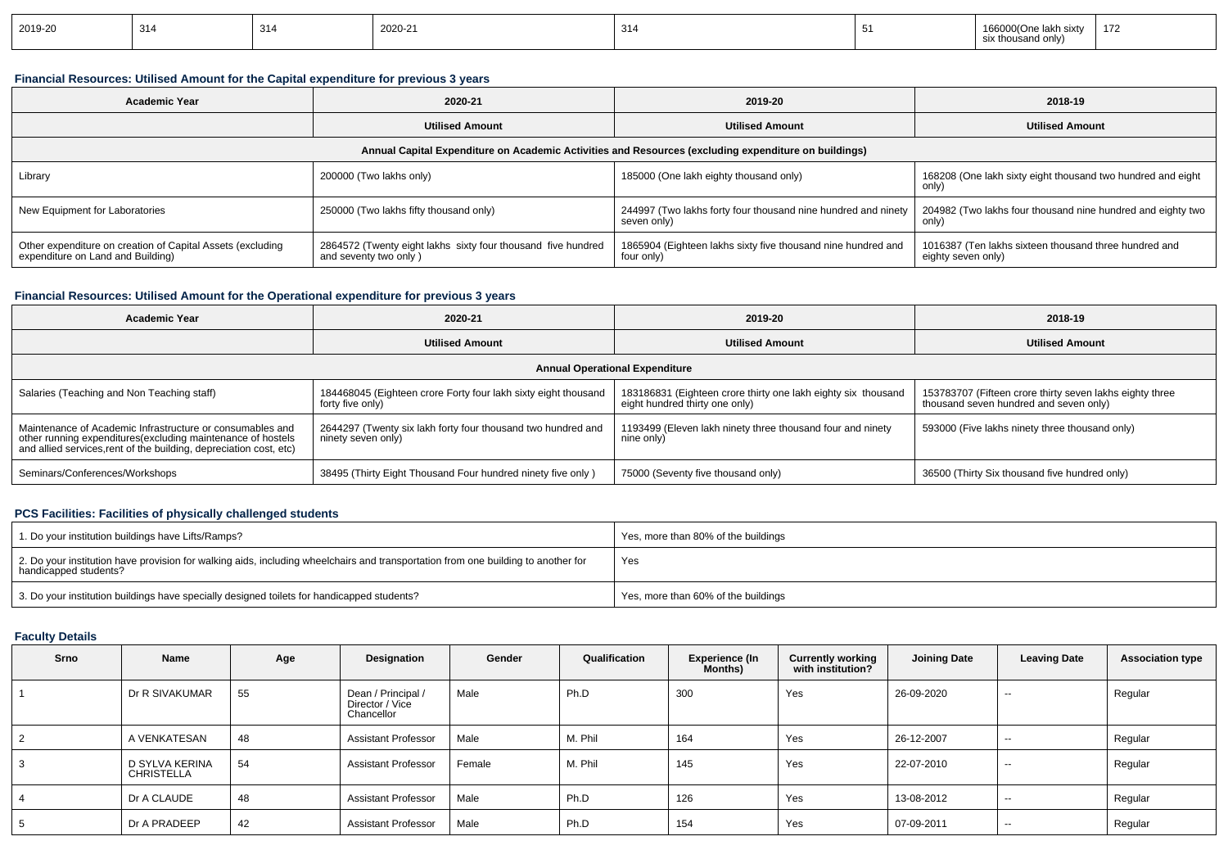| 2019-20 | 314 | 314 | 2020-21 | 314 |  | lakh sixtv<br>166000(One<br>six thousand only) | 172 |
|---------|-----|-----|---------|-----|--|------------------------------------------------|-----|
|---------|-----|-----|---------|-----|--|------------------------------------------------|-----|

# **Financial Resources: Utilised Amount for the Capital expenditure for previous 3 years**

| <b>Academic Year</b>                                                                            | 2020-21                                                                               |                                                                                                      | 2018-19                                                                     |  |  |
|-------------------------------------------------------------------------------------------------|---------------------------------------------------------------------------------------|------------------------------------------------------------------------------------------------------|-----------------------------------------------------------------------------|--|--|
|                                                                                                 | <b>Utilised Amount</b>                                                                |                                                                                                      | <b>Utilised Amount</b>                                                      |  |  |
|                                                                                                 |                                                                                       | Annual Capital Expenditure on Academic Activities and Resources (excluding expenditure on buildings) |                                                                             |  |  |
| Library                                                                                         | 200000 (Two lakhs only)                                                               | 185000 (One lakh eighty thousand only)                                                               | 168208 (One lakh sixty eight thousand two hundred and eight<br>only)        |  |  |
| New Equipment for Laboratories                                                                  | 250000 (Two lakhs fifty thousand only)                                                | 244997 (Two lakhs forty four thousand nine hundred and ninety<br>seven only)                         | 204982 (Two lakhs four thousand nine hundred and eighty two<br>only)        |  |  |
| Other expenditure on creation of Capital Assets (excluding<br>expenditure on Land and Building) | 2864572 (Twenty eight lakhs sixty four thousand five hundred<br>and seventy two only) | 1865904 (Eighteen lakhs sixty five thousand nine hundred and<br>four only)                           | 1016387 (Ten lakhs sixteen thousand three hundred and<br>eighty seven only) |  |  |

# **Financial Resources: Utilised Amount for the Operational expenditure for previous 3 years**

| <b>Academic Year</b>                                                                                                                                                                            | 2020-21                                                                            | 2019-20                                                                                         | 2018-19                                                                                            |  |  |  |  |  |  |
|-------------------------------------------------------------------------------------------------------------------------------------------------------------------------------------------------|------------------------------------------------------------------------------------|-------------------------------------------------------------------------------------------------|----------------------------------------------------------------------------------------------------|--|--|--|--|--|--|
|                                                                                                                                                                                                 | <b>Utilised Amount</b>                                                             | <b>Utilised Amount</b>                                                                          | <b>Utilised Amount</b>                                                                             |  |  |  |  |  |  |
| <b>Annual Operational Expenditure</b>                                                                                                                                                           |                                                                                    |                                                                                                 |                                                                                                    |  |  |  |  |  |  |
| Salaries (Teaching and Non Teaching staff)                                                                                                                                                      | 184468045 (Eighteen crore Forty four lakh sixty eight thousand<br>forty five only) | 183186831 (Eighteen crore thirty one lakh eighty six thousand<br>eight hundred thirty one only) | 153783707 (Fifteen crore thirty seven lakhs eighty three<br>thousand seven hundred and seven only) |  |  |  |  |  |  |
| Maintenance of Academic Infrastructure or consumables and<br>other running expenditures (excluding maintenance of hostels<br>and allied services, rent of the building, depreciation cost, etc) | 2644297 (Twenty six lakh forty four thousand two hundred and<br>ninety seven only) | 1193499 (Eleven lakh ninety three thousand four and ninety<br>nine only)                        | 593000 (Five lakhs ninety three thousand only)                                                     |  |  |  |  |  |  |
| Seminars/Conferences/Workshops                                                                                                                                                                  | 38495 (Thirty Eight Thousand Four hundred ninety five only)                        | 75000 (Seventy five thousand only)                                                              | 36500 (Thirty Six thousand five hundred only)                                                      |  |  |  |  |  |  |

# **PCS Facilities: Facilities of physically challenged students**

| 1. Do your institution buildings have Lifts/Ramps?                                                                                                         | Yes, more than 80% of the buildings |
|------------------------------------------------------------------------------------------------------------------------------------------------------------|-------------------------------------|
| 2. Do your institution have provision for walking aids, including wheelchairs and transportation from one building to another for<br>handicapped students? | Yes                                 |
| 3. Do your institution buildings have specially designed toilets for handicapped students?                                                                 | Yes, more than 60% of the buildings |

# **Faculty Details**

| Srno | Name                                | Age | Designation                                         | Gender | Qualification | Experience (In<br>Months) | <b>Currently working</b><br>with institution? | <b>Joining Date</b> | <b>Leaving Date</b> | <b>Association type</b> |
|------|-------------------------------------|-----|-----------------------------------------------------|--------|---------------|---------------------------|-----------------------------------------------|---------------------|---------------------|-------------------------|
|      | Dr R SIVAKUMAR                      | 55  | Dean / Principal /<br>Director / Vice<br>Chancellor | Male   | Ph.D          | 300                       | Yes                                           | 26-09-2020          | $-$                 | Regular                 |
| 2    | A VENKATESAN                        | 48  | <b>Assistant Professor</b>                          | Male   | M. Phil       | 164                       | Yes                                           | 26-12-2007          | $-$                 | Regular                 |
| 3    | D SYLVA KERINA<br><b>CHRISTELLA</b> | 54  | <b>Assistant Professor</b>                          | Female | M. Phil       | 145                       | Yes                                           | 22-07-2010          | $-$                 | Regular                 |
| 4    | Dr A CLAUDE                         | 48  | <b>Assistant Professor</b>                          | Male   | Ph.D          | 126                       | Yes                                           | 13-08-2012          | $- -$               | Regular                 |
| 5    | Dr A PRADEEP                        | 42  | <b>Assistant Professor</b>                          | Male   | Ph.D          | 154                       | Yes                                           | 07-09-2011          | $-$                 | Regular                 |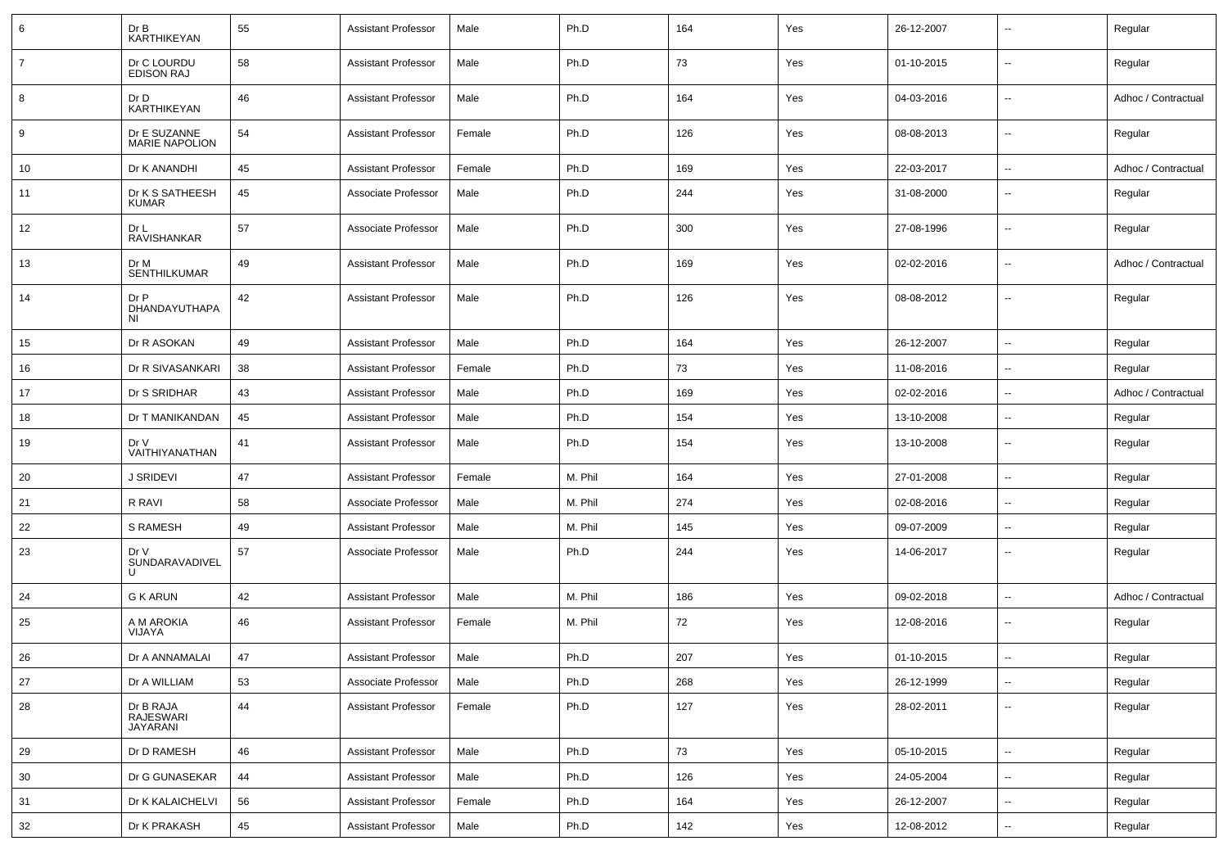| 6              | Dr B<br><b>KARTHIKEYAN</b>            | 55 | <b>Assistant Professor</b> | Male   | Ph.D    | 164 | Yes | 26-12-2007 | ۰.                       | Regular             |
|----------------|---------------------------------------|----|----------------------------|--------|---------|-----|-----|------------|--------------------------|---------------------|
| $\overline{7}$ | Dr C LOURDU<br><b>EDISON RAJ</b>      | 58 | <b>Assistant Professor</b> | Male   | Ph.D    | 73  | Yes | 01-10-2015 | $\overline{\phantom{a}}$ | Regular             |
| 8              | Dr D<br><b>KARTHIKEYAN</b>            | 46 | <b>Assistant Professor</b> | Male   | Ph.D    | 164 | Yes | 04-03-2016 | $\overline{\phantom{a}}$ | Adhoc / Contractual |
| 9              | Dr E SUZANNE<br><b>MARIE NAPOLION</b> | 54 | <b>Assistant Professor</b> | Female | Ph.D    | 126 | Yes | 08-08-2013 | $\overline{\phantom{a}}$ | Regular             |
| 10             | Dr K ANANDHI                          | 45 | <b>Assistant Professor</b> | Female | Ph.D    | 169 | Yes | 22-03-2017 | --                       | Adhoc / Contractual |
| 11             | Dr K S SATHEESH<br>KUMAR              | 45 | Associate Professor        | Male   | Ph.D    | 244 | Yes | 31-08-2000 | $\overline{\phantom{a}}$ | Regular             |
| 12             | Dr L<br>RAVISHANKAR                   | 57 | Associate Professor        | Male   | Ph.D    | 300 | Yes | 27-08-1996 | $\overline{\phantom{a}}$ | Regular             |
| 13             | Dr M<br>SENTHILKUMAR                  | 49 | <b>Assistant Professor</b> | Male   | Ph.D    | 169 | Yes | 02-02-2016 | $\overline{a}$           | Adhoc / Contractual |
| 14             | Dr P<br>DHANDAYUTHAPA<br>NI.          | 42 | <b>Assistant Professor</b> | Male   | Ph.D    | 126 | Yes | 08-08-2012 | $\sim$                   | Regular             |
| 15             | Dr R ASOKAN                           | 49 | <b>Assistant Professor</b> | Male   | Ph.D    | 164 | Yes | 26-12-2007 | $\overline{\phantom{a}}$ | Regular             |
| 16             | Dr R SIVASANKARI                      | 38 | <b>Assistant Professor</b> | Female | Ph.D    | 73  | Yes | 11-08-2016 | $\overline{\phantom{a}}$ | Regular             |
| 17             | Dr S SRIDHAR                          | 43 | <b>Assistant Professor</b> | Male   | Ph.D    | 169 | Yes | 02-02-2016 | --                       | Adhoc / Contractual |
| 18             | Dr T MANIKANDAN                       | 45 | <b>Assistant Professor</b> | Male   | Ph.D    | 154 | Yes | 13-10-2008 | $\overline{\phantom{a}}$ | Regular             |
| 19             | Dr V<br>VAITHIYANATHAN                | 41 | <b>Assistant Professor</b> | Male   | Ph.D    | 154 | Yes | 13-10-2008 | $\overline{\phantom{a}}$ | Regular             |
| 20             | <b>J SRIDEVI</b>                      | 47 | <b>Assistant Professor</b> | Female | M. Phil | 164 | Yes | 27-01-2008 | $\overline{\phantom{a}}$ | Regular             |
| 21             | R RAVI                                | 58 | Associate Professor        | Male   | M. Phil | 274 | Yes | 02-08-2016 | $\overline{\phantom{a}}$ | Regular             |
| 22             | <b>S RAMESH</b>                       | 49 | <b>Assistant Professor</b> | Male   | M. Phil | 145 | Yes | 09-07-2009 | $\overline{\phantom{a}}$ | Regular             |
| 23             | Dr V<br>SUNDARAVADIVEL<br>U           | 57 | Associate Professor        | Male   | Ph.D    | 244 | Yes | 14-06-2017 | $\overline{\phantom{a}}$ | Regular             |
| 24             | G K ARUN                              | 42 | <b>Assistant Professor</b> | Male   | M. Phil | 186 | Yes | 09-02-2018 | --                       | Adhoc / Contractual |
| 25             | A M AROKIA<br>VIJAYA                  | 46 | <b>Assistant Professor</b> | Female | M. Phil | 72  | Yes | 12-08-2016 | --                       | Regular             |
| 26             | Dr A ANNAMALAI                        | 47 | <b>Assistant Professor</b> | Male   | Ph.D    | 207 | Yes | 01-10-2015 |                          | Regular             |
| 27             | Dr A WILLIAM                          | 53 | Associate Professor        | Male   | Ph.D    | 268 | Yes | 26-12-1999 | Ξ.                       | Regular             |
| 28             | Dr B RAJA<br>RAJESWARI<br>JAYARANI    | 44 | <b>Assistant Professor</b> | Female | Ph.D    | 127 | Yes | 28-02-2011 | --                       | Regular             |
| 29             | Dr D RAMESH                           | 46 | <b>Assistant Professor</b> | Male   | Ph.D    | 73  | Yes | 05-10-2015 | Ξ.                       | Regular             |
| 30             | Dr G GUNASEKAR                        | 44 | Assistant Professor        | Male   | Ph.D    | 126 | Yes | 24-05-2004 | Ξ.                       | Regular             |
| 31             | Dr K KALAICHELVI                      | 56 | <b>Assistant Professor</b> | Female | Ph.D    | 164 | Yes | 26-12-2007 | Ξ.                       | Regular             |
| 32             | Dr K PRAKASH                          | 45 | <b>Assistant Professor</b> | Male   | Ph.D    | 142 | Yes | 12-08-2012 | $\overline{\phantom{a}}$ | Regular             |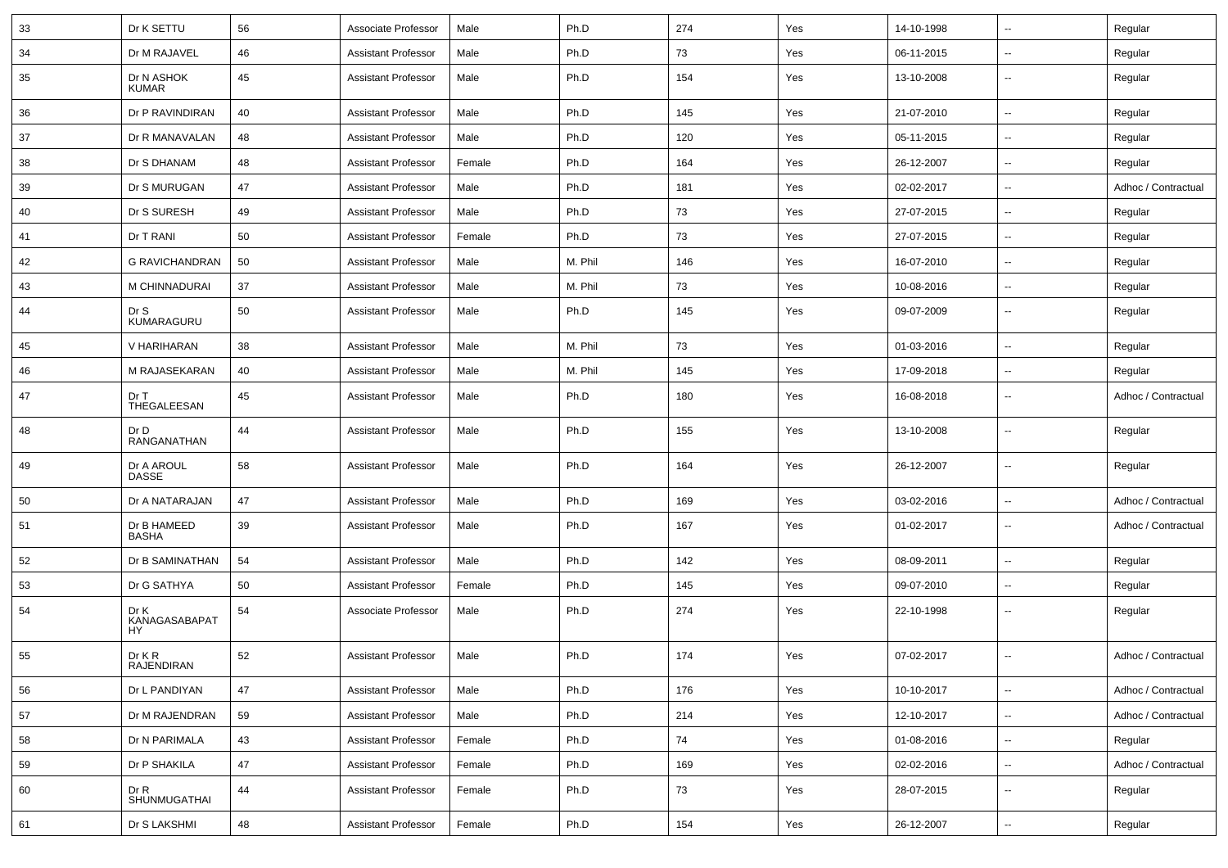| 33 | Dr K SETTU                         | 56 | Associate Professor        | Male   | Ph.D    | 274 | Yes | 14-10-1998 | --                       | Regular             |
|----|------------------------------------|----|----------------------------|--------|---------|-----|-----|------------|--------------------------|---------------------|
| 34 | Dr M RAJAVEL                       | 46 | <b>Assistant Professor</b> | Male   | Ph.D    | 73  | Yes | 06-11-2015 | $\overline{\phantom{a}}$ | Regular             |
| 35 | Dr N ASHOK<br><b>KUMAR</b>         | 45 | <b>Assistant Professor</b> | Male   | Ph.D    | 154 | Yes | 13-10-2008 | ۰.                       | Regular             |
| 36 | Dr P RAVINDIRAN                    | 40 | <b>Assistant Professor</b> | Male   | Ph.D    | 145 | Yes | 21-07-2010 | $\overline{\phantom{a}}$ | Regular             |
| 37 | Dr R MANAVALAN                     | 48 | <b>Assistant Professor</b> | Male   | Ph.D    | 120 | Yes | 05-11-2015 | --                       | Regular             |
| 38 | Dr S DHANAM                        | 48 | <b>Assistant Professor</b> | Female | Ph.D    | 164 | Yes | 26-12-2007 | --                       | Regular             |
| 39 | Dr S MURUGAN                       | 47 | <b>Assistant Professor</b> | Male   | Ph.D    | 181 | Yes | 02-02-2017 | $\overline{\phantom{a}}$ | Adhoc / Contractual |
| 40 | Dr S SURESH                        | 49 | <b>Assistant Professor</b> | Male   | Ph.D    | 73  | Yes | 27-07-2015 | --                       | Regular             |
| 41 | Dr T RANI                          | 50 | <b>Assistant Professor</b> | Female | Ph.D    | 73  | Yes | 27-07-2015 | $\overline{\phantom{a}}$ | Regular             |
| 42 | <b>G RAVICHANDRAN</b>              | 50 | <b>Assistant Professor</b> | Male   | M. Phil | 146 | Yes | 16-07-2010 | $\overline{\phantom{a}}$ | Regular             |
| 43 | M CHINNADURAI                      | 37 | <b>Assistant Professor</b> | Male   | M. Phil | 73  | Yes | 10-08-2016 | --                       | Regular             |
| 44 | Dr S<br>KUMARAGURU                 | 50 | <b>Assistant Professor</b> | Male   | Ph.D    | 145 | Yes | 09-07-2009 | $\overline{\phantom{a}}$ | Regular             |
| 45 | V HARIHARAN                        | 38 | <b>Assistant Professor</b> | Male   | M. Phil | 73  | Yes | 01-03-2016 | --                       | Regular             |
| 46 | M RAJASEKARAN                      | 40 | <b>Assistant Professor</b> | Male   | M. Phil | 145 | Yes | 17-09-2018 | $\overline{\phantom{a}}$ | Regular             |
| 47 | Dr T<br>THEGALEESAN                | 45 | <b>Assistant Professor</b> | Male   | Ph.D    | 180 | Yes | 16-08-2018 | ۰.                       | Adhoc / Contractual |
| 48 | Dr D<br>RANGANATHAN                | 44 | <b>Assistant Professor</b> | Male   | Ph.D    | 155 | Yes | 13-10-2008 | --                       | Regular             |
| 49 | Dr A AROUL<br>DASSE                | 58 | <b>Assistant Professor</b> | Male   | Ph.D    | 164 | Yes | 26-12-2007 | $\overline{\phantom{a}}$ | Regular             |
| 50 | Dr A NATARAJAN                     | 47 | <b>Assistant Professor</b> | Male   | Ph.D    | 169 | Yes | 03-02-2016 | --                       | Adhoc / Contractual |
| 51 | Dr B HAMEED<br><b>BASHA</b>        | 39 | <b>Assistant Professor</b> | Male   | Ph.D    | 167 | Yes | 01-02-2017 | ۰.                       | Adhoc / Contractual |
| 52 | Dr B SAMINATHAN                    | 54 | <b>Assistant Professor</b> | Male   | Ph.D    | 142 | Yes | 08-09-2011 | Ξ.                       | Regular             |
| 53 | Dr G SATHYA                        | 50 | <b>Assistant Professor</b> | Female | Ph.D    | 145 | Yes | 09-07-2010 | $\overline{\phantom{a}}$ | Regular             |
| 54 | Dr K<br>KANAGASABAPAT<br><b>HY</b> | 54 | Associate Professor        | Male   | Ph.D    | 274 | Yes | 22-10-1998 | ۰.                       | Regular             |
| 55 | Dr K R<br>RAJENDIRAN               | 52 | <b>Assistant Professor</b> | Male   | Ph.D    | 174 | Yes | 07-02-2017 | $\overline{a}$           | Adhoc / Contractual |
| 56 | Dr L PANDIYAN                      | 47 | <b>Assistant Professor</b> | Male   | Ph.D    | 176 | Yes | 10-10-2017 | Ξ.                       | Adhoc / Contractual |
| 57 | Dr M RAJENDRAN                     | 59 | Assistant Professor        | Male   | Ph.D    | 214 | Yes | 12-10-2017 | --                       | Adhoc / Contractual |
| 58 | Dr N PARIMALA                      | 43 | <b>Assistant Professor</b> | Female | Ph.D    | 74  | Yes | 01-08-2016 | Ξ.                       | Regular             |
| 59 | Dr P SHAKILA                       | 47 | <b>Assistant Professor</b> | Female | Ph.D    | 169 | Yes | 02-02-2016 | $\overline{\phantom{a}}$ | Adhoc / Contractual |
| 60 | Dr R<br>SHUNMUGATHAI               | 44 | <b>Assistant Professor</b> | Female | Ph.D    | 73  | Yes | 28-07-2015 | Ξ.                       | Regular             |
| 61 | Dr S LAKSHMI                       | 48 | <b>Assistant Professor</b> | Female | Ph.D    | 154 | Yes | 26-12-2007 | ۰.                       | Regular             |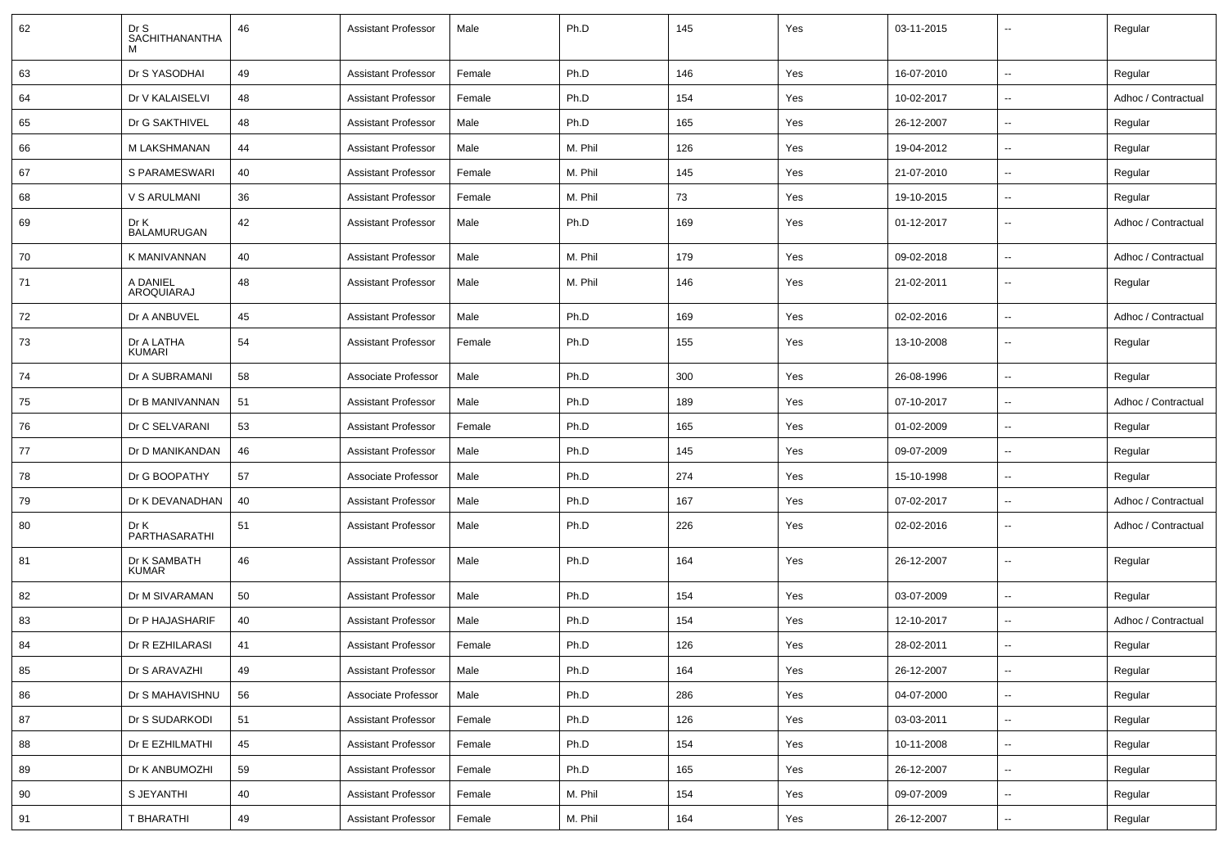| 62 | Dr S<br>SACHITHANANTHA<br>м  | 46 | <b>Assistant Professor</b> | Male   | Ph.D    | 145 | Yes | 03-11-2015 |                          | Regular             |
|----|------------------------------|----|----------------------------|--------|---------|-----|-----|------------|--------------------------|---------------------|
| 63 | Dr S YASODHAI                | 49 | <b>Assistant Professor</b> | Female | Ph.D    | 146 | Yes | 16-07-2010 | $\overline{\phantom{a}}$ | Regular             |
| 64 | Dr V KALAISELVI              | 48 | <b>Assistant Professor</b> | Female | Ph.D    | 154 | Yes | 10-02-2017 | $\overline{\phantom{a}}$ | Adhoc / Contractual |
| 65 | Dr G SAKTHIVEL               | 48 | <b>Assistant Professor</b> | Male   | Ph.D    | 165 | Yes | 26-12-2007 | $\overline{\phantom{a}}$ | Regular             |
| 66 | M LAKSHMANAN                 | 44 | <b>Assistant Professor</b> | Male   | M. Phil | 126 | Yes | 19-04-2012 | $\overline{\phantom{a}}$ | Regular             |
| 67 | S PARAMESWARI                | 40 | <b>Assistant Professor</b> | Female | M. Phil | 145 | Yes | 21-07-2010 | $\overline{\phantom{a}}$ | Regular             |
| 68 | V S ARULMANI                 | 36 | <b>Assistant Professor</b> | Female | M. Phil | 73  | Yes | 19-10-2015 | $\overline{\phantom{a}}$ | Regular             |
| 69 | Dr K<br><b>BALAMURUGAN</b>   | 42 | <b>Assistant Professor</b> | Male   | Ph.D    | 169 | Yes | 01-12-2017 | $\overline{\phantom{a}}$ | Adhoc / Contractual |
| 70 | K MANIVANNAN                 | 40 | <b>Assistant Professor</b> | Male   | M. Phil | 179 | Yes | 09-02-2018 | $\overline{\phantom{a}}$ | Adhoc / Contractual |
| 71 | A DANIEL<br>AROQUIARAJ       | 48 | <b>Assistant Professor</b> | Male   | M. Phil | 146 | Yes | 21-02-2011 | $\overline{\phantom{a}}$ | Regular             |
| 72 | Dr A ANBUVEL                 | 45 | <b>Assistant Professor</b> | Male   | Ph.D    | 169 | Yes | 02-02-2016 | $\overline{\phantom{a}}$ | Adhoc / Contractual |
| 73 | Dr A LATHA<br><b>KUMARI</b>  | 54 | <b>Assistant Professor</b> | Female | Ph.D    | 155 | Yes | 13-10-2008 | $\overline{\phantom{a}}$ | Regular             |
| 74 | Dr A SUBRAMANI               | 58 | Associate Professor        | Male   | Ph.D    | 300 | Yes | 26-08-1996 | $\mathbf{u}$             | Regular             |
| 75 | Dr B MANIVANNAN              | 51 | <b>Assistant Professor</b> | Male   | Ph.D    | 189 | Yes | 07-10-2017 | $\overline{\phantom{a}}$ | Adhoc / Contractual |
| 76 | Dr C SELVARANI               | 53 | <b>Assistant Professor</b> | Female | Ph.D    | 165 | Yes | 01-02-2009 | $\overline{\phantom{a}}$ | Regular             |
| 77 | Dr D MANIKANDAN              | 46 | <b>Assistant Professor</b> | Male   | Ph.D    | 145 | Yes | 09-07-2009 | $\mathbf{u}$             | Regular             |
| 78 | Dr G BOOPATHY                | 57 | Associate Professor        | Male   | Ph.D    | 274 | Yes | 15-10-1998 | $\overline{\phantom{a}}$ | Regular             |
| 79 | Dr K DEVANADHAN              | 40 | <b>Assistant Professor</b> | Male   | Ph.D    | 167 | Yes | 07-02-2017 | $\overline{\phantom{a}}$ | Adhoc / Contractual |
| 80 | Dr K<br>PARTHASARATHI        | 51 | <b>Assistant Professor</b> | Male   | Ph.D    | 226 | Yes | 02-02-2016 | $\overline{\phantom{a}}$ | Adhoc / Contractual |
| 81 | Dr K SAMBATH<br><b>KUMAR</b> | 46 | <b>Assistant Professor</b> | Male   | Ph.D    | 164 | Yes | 26-12-2007 | $\mathbf{u}$             | Regular             |
| 82 | Dr M SIVARAMAN               | 50 | <b>Assistant Professor</b> | Male   | Ph.D    | 154 | Yes | 03-07-2009 | $\overline{\phantom{a}}$ | Regular             |
| 83 | Dr P HAJASHARIF              | 40 | <b>Assistant Professor</b> | Male   | Ph.D    | 154 | Yes | 12-10-2017 | $\overline{\phantom{a}}$ | Adhoc / Contractual |
| 84 | Dr R EZHILARASI              | 41 | <b>Assistant Professor</b> | Female | Ph.D    | 126 | Yes | 28-02-2011 | $\overline{\phantom{a}}$ | Regular             |
| 85 | Dr S ARAVAZHI                | 49 | <b>Assistant Professor</b> | Male   | Ph.D    | 164 | Yes | 26-12-2007 |                          | Regular             |
| 86 | Dr S MAHAVISHNU              | 56 | Associate Professor        | Male   | Ph.D    | 286 | Yes | 04-07-2000 | $\sim$                   | Regular             |
| 87 | Dr S SUDARKODI               | 51 | <b>Assistant Professor</b> | Female | Ph.D    | 126 | Yes | 03-03-2011 | $\overline{\phantom{a}}$ | Regular             |
| 88 | Dr E EZHILMATHI              | 45 | <b>Assistant Professor</b> | Female | Ph.D    | 154 | Yes | 10-11-2008 | $\overline{\phantom{a}}$ | Regular             |
| 89 | Dr K ANBUMOZHI               | 59 | <b>Assistant Professor</b> | Female | Ph.D    | 165 | Yes | 26-12-2007 | ۰.                       | Regular             |
| 90 | S JEYANTHI                   | 40 | <b>Assistant Professor</b> | Female | M. Phil | 154 | Yes | 09-07-2009 | $\overline{\phantom{a}}$ | Regular             |
| 91 | T BHARATHI                   | 49 | <b>Assistant Professor</b> | Female | M. Phil | 164 | Yes | 26-12-2007 | ۰.                       | Regular             |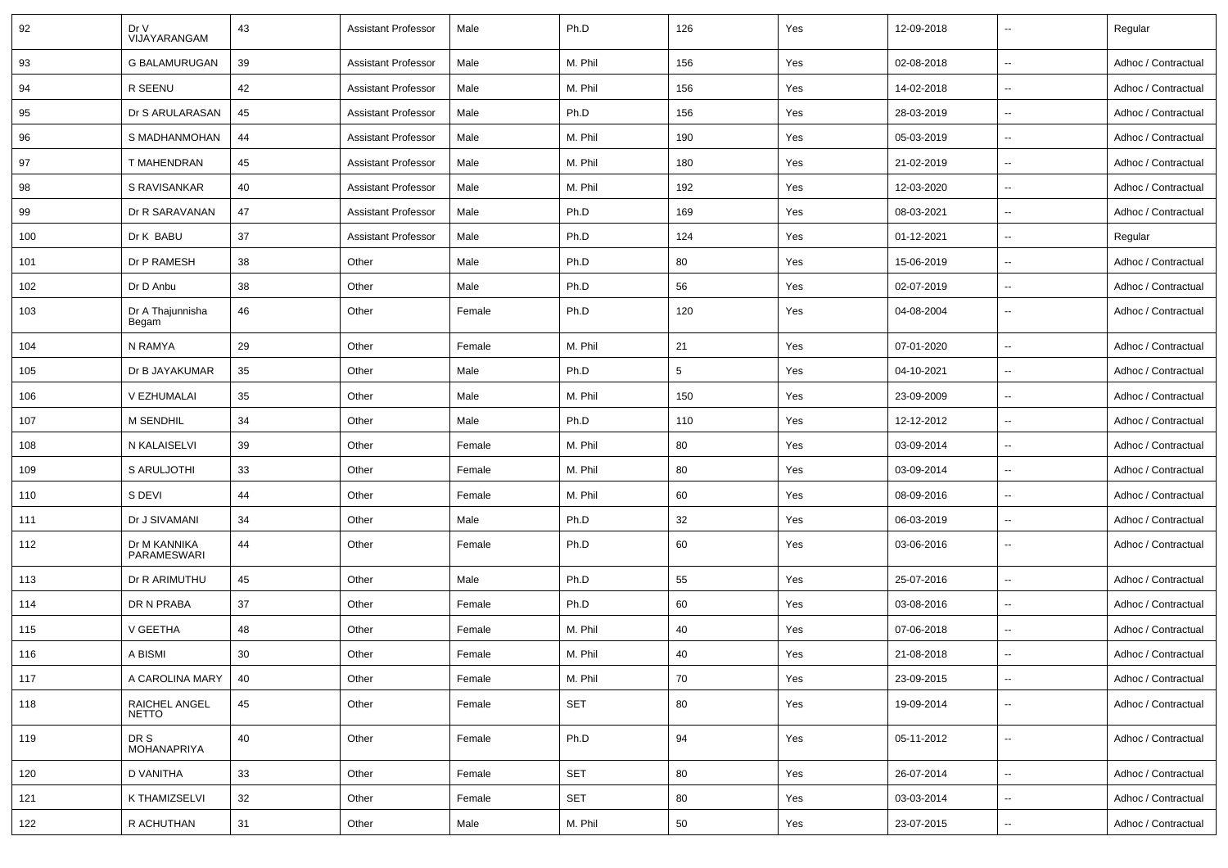| 92  | Dr V<br>VIJAYARANGAM          | 43 | Assistant Professor        | Male   | Ph.D       | 126    | Yes | 12-09-2018 | $\sim$                   | Regular             |
|-----|-------------------------------|----|----------------------------|--------|------------|--------|-----|------------|--------------------------|---------------------|
| 93  | <b>G BALAMURUGAN</b>          | 39 | Assistant Professor        | Male   | M. Phil    | 156    | Yes | 02-08-2018 | $\sim$                   | Adhoc / Contractual |
| 94  | R SEENU                       | 42 | Assistant Professor        | Male   | M. Phil    | 156    | Yes | 14-02-2018 | $\overline{\phantom{a}}$ | Adhoc / Contractual |
| 95  | Dr S ARULARASAN               | 45 | <b>Assistant Professor</b> | Male   | Ph.D       | 156    | Yes | 28-03-2019 | $\overline{\phantom{a}}$ | Adhoc / Contractual |
| 96  | S MADHANMOHAN                 | 44 | Assistant Professor        | Male   | M. Phil    | 190    | Yes | 05-03-2019 | $\sim$                   | Adhoc / Contractual |
| 97  | T MAHENDRAN                   | 45 | Assistant Professor        | Male   | M. Phil    | 180    | Yes | 21-02-2019 | $\overline{\phantom{a}}$ | Adhoc / Contractual |
| 98  | S RAVISANKAR                  | 40 | Assistant Professor        | Male   | M. Phil    | 192    | Yes | 12-03-2020 | $\overline{\phantom{a}}$ | Adhoc / Contractual |
| 99  | Dr R SARAVANAN                | 47 | Assistant Professor        | Male   | Ph.D       | 169    | Yes | 08-03-2021 | $\sim$                   | Adhoc / Contractual |
| 100 | Dr K BABU                     | 37 | Assistant Professor        | Male   | Ph.D       | 124    | Yes | 01-12-2021 | $\overline{\phantom{a}}$ | Regular             |
| 101 | Dr P RAMESH                   | 38 | Other                      | Male   | Ph.D       | 80     | Yes | 15-06-2019 | $\sim$                   | Adhoc / Contractual |
| 102 | Dr D Anbu                     | 38 | Other                      | Male   | Ph.D       | 56     | Yes | 02-07-2019 | $\sim$                   | Adhoc / Contractual |
| 103 | Dr A Thajunnisha<br>Begam     | 46 | Other                      | Female | Ph.D       | 120    | Yes | 04-08-2004 | $\overline{\phantom{a}}$ | Adhoc / Contractual |
| 104 | N RAMYA                       | 29 | Other                      | Female | M. Phil    | 21     | Yes | 07-01-2020 | $\overline{\phantom{a}}$ | Adhoc / Contractual |
| 105 | Dr B JAYAKUMAR                | 35 | Other                      | Male   | Ph.D       | 5      | Yes | 04-10-2021 | $\sim$                   | Adhoc / Contractual |
| 106 | V EZHUMALAI                   | 35 | Other                      | Male   | M. Phil    | 150    | Yes | 23-09-2009 | $\sim$                   | Adhoc / Contractual |
| 107 | M SENDHIL                     | 34 | Other                      | Male   | Ph.D       | 110    | Yes | 12-12-2012 | $\overline{\phantom{a}}$ | Adhoc / Contractual |
| 108 | N KALAISELVI                  | 39 | Other                      | Female | M. Phil    | 80     | Yes | 03-09-2014 | $\overline{\phantom{a}}$ | Adhoc / Contractual |
| 109 | S ARULJOTHI                   | 33 | Other                      | Female | M. Phil    | 80     | Yes | 03-09-2014 | $\sim$                   | Adhoc / Contractual |
| 110 | S DEVI                        | 44 | Other                      | Female | M. Phil    | 60     | Yes | 08-09-2016 | $\overline{\phantom{a}}$ | Adhoc / Contractual |
| 111 | Dr J SIVAMANI                 | 34 | Other                      | Male   | Ph.D       | 32     | Yes | 06-03-2019 | $\overline{\phantom{a}}$ | Adhoc / Contractual |
| 112 | Dr M KANNIKA<br>PARAMESWARI   | 44 | Other                      | Female | Ph.D       | 60     | Yes | 03-06-2016 | $\sim$                   | Adhoc / Contractual |
| 113 | Dr R ARIMUTHU                 | 45 | Other                      | Male   | Ph.D       | 55     | Yes | 25-07-2016 | $\sim$                   | Adhoc / Contractual |
| 114 | DR N PRABA                    | 37 | Other                      | Female | Ph.D       | 60     | Yes | 03-08-2016 | $\overline{\phantom{a}}$ | Adhoc / Contractual |
| 115 | V GEETHA                      | 48 | Other                      | Female | M. Phil    | 40     | Yes | 07-06-2018 | $\overline{\phantom{a}}$ | Adhoc / Contractual |
| 116 | A BISMI                       | 30 | Other                      | Female | M. Phil    | 40     | Yes | 21-08-2018 | $\overline{\phantom{a}}$ | Adhoc / Contractual |
| 117 | A CAROLINA MARY               | 40 | Other                      | Female | M. Phil    | 70     | Yes | 23-09-2015 | $\sim$                   | Adhoc / Contractual |
| 118 | RAICHEL ANGEL<br><b>NETTO</b> | 45 | Other                      | Female | <b>SET</b> | 80     | Yes | 19-09-2014 | $\overline{\phantom{a}}$ | Adhoc / Contractual |
| 119 | DR S<br>MOHANAPRIYA           | 40 | Other                      | Female | Ph.D       | 94     | Yes | 05-11-2012 | $\sim$                   | Adhoc / Contractual |
| 120 | D VANITHA                     | 33 | Other                      | Female | <b>SET</b> | 80     | Yes | 26-07-2014 | $\sim$                   | Adhoc / Contractual |
| 121 | K THAMIZSELVI                 | 32 | Other                      | Female | SET        | 80     | Yes | 03-03-2014 | $\sim$                   | Adhoc / Contractual |
| 122 | R ACHUTHAN                    | 31 | Other                      | Male   | M. Phil    | $50\,$ | Yes | 23-07-2015 | $\overline{\phantom{a}}$ | Adhoc / Contractual |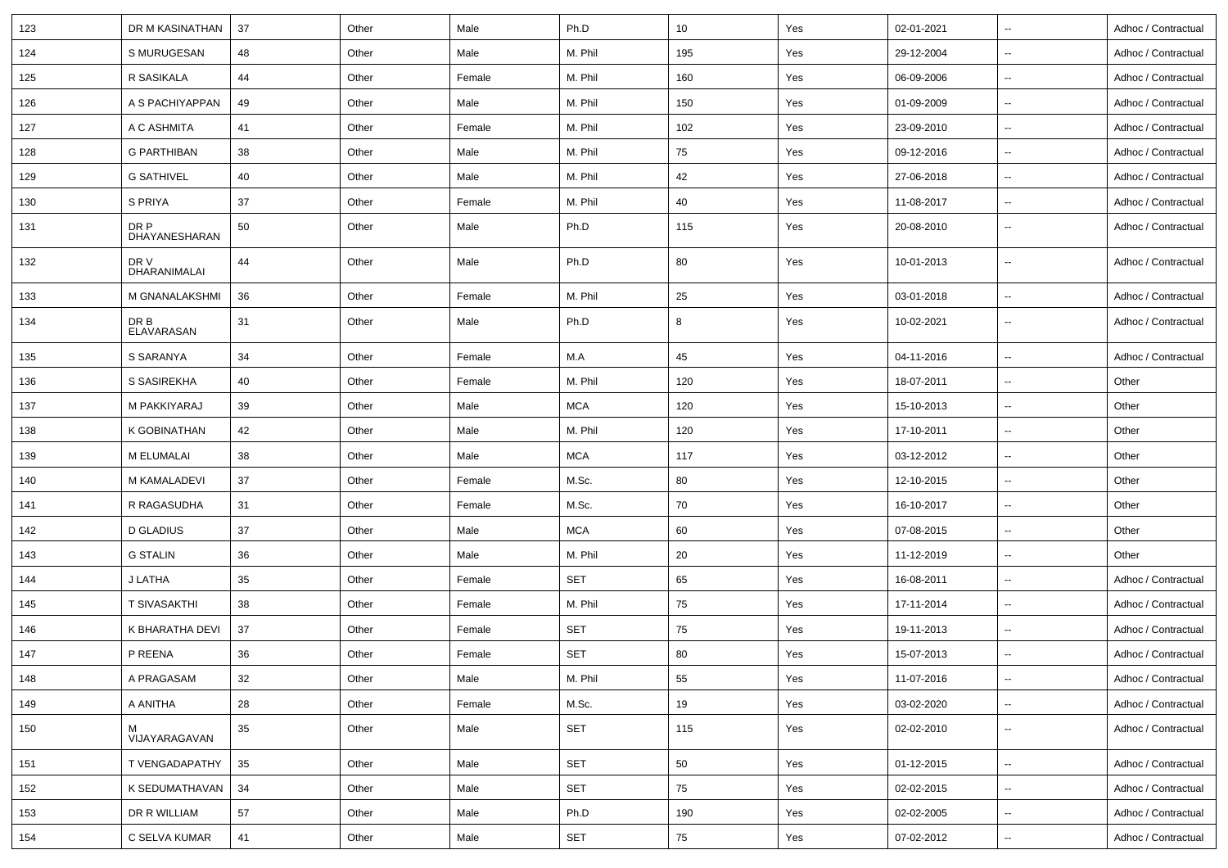| 123 | DR M KASINATHAN       | 37 | Other | Male   | Ph.D       | 10  | Yes | 02-01-2021 | $\sim$                   | Adhoc / Contractual |
|-----|-----------------------|----|-------|--------|------------|-----|-----|------------|--------------------------|---------------------|
| 124 | S MURUGESAN           | 48 | Other | Male   | M. Phil    | 195 | Yes | 29-12-2004 | $\sim$                   | Adhoc / Contractual |
| 125 | R SASIKALA            | 44 | Other | Female | M. Phil    | 160 | Yes | 06-09-2006 | $\sim$                   | Adhoc / Contractual |
| 126 | A S PACHIYAPPAN       | 49 | Other | Male   | M. Phil    | 150 | Yes | 01-09-2009 | $\overline{\phantom{a}}$ | Adhoc / Contractual |
| 127 | A C ASHMITA           | 41 | Other | Female | M. Phil    | 102 | Yes | 23-09-2010 | $\sim$                   | Adhoc / Contractual |
| 128 | <b>G PARTHIBAN</b>    | 38 | Other | Male   | M. Phil    | 75  | Yes | 09-12-2016 | $\overline{\phantom{a}}$ | Adhoc / Contractual |
| 129 | <b>G SATHIVEL</b>     | 40 | Other | Male   | M. Phil    | 42  | Yes | 27-06-2018 | $\sim$                   | Adhoc / Contractual |
| 130 | S PRIYA               | 37 | Other | Female | M. Phil    | 40  | Yes | 11-08-2017 | $\sim$                   | Adhoc / Contractual |
| 131 | DR P<br>DHAYANESHARAN | 50 | Other | Male   | Ph.D       | 115 | Yes | 20-08-2010 | $\sim$                   | Adhoc / Contractual |
| 132 | DR V<br>DHARANIMALAI  | 44 | Other | Male   | Ph.D       | 80  | Yes | 10-01-2013 | $\overline{\phantom{a}}$ | Adhoc / Contractual |
| 133 | M GNANALAKSHMI        | 36 | Other | Female | M. Phil    | 25  | Yes | 03-01-2018 | $\sim$                   | Adhoc / Contractual |
| 134 | DR B<br>ELAVARASAN    | 31 | Other | Male   | Ph.D       | 8   | Yes | 10-02-2021 | $\overline{\phantom{a}}$ | Adhoc / Contractual |
| 135 | S SARANYA             | 34 | Other | Female | M.A        | 45  | Yes | 04-11-2016 | $\overline{\phantom{a}}$ | Adhoc / Contractual |
| 136 | S SASIREKHA           | 40 | Other | Female | M. Phil    | 120 | Yes | 18-07-2011 | $\overline{\phantom{a}}$ | Other               |
| 137 | M PAKKIYARAJ          | 39 | Other | Male   | <b>MCA</b> | 120 | Yes | 15-10-2013 | $\overline{\phantom{a}}$ | Other               |
| 138 | K GOBINATHAN          | 42 | Other | Male   | M. Phil    | 120 | Yes | 17-10-2011 | $\ddotsc$                | Other               |
| 139 | M ELUMALAI            | 38 | Other | Male   | <b>MCA</b> | 117 | Yes | 03-12-2012 | $\overline{\phantom{a}}$ | Other               |
| 140 | M KAMALADEVI          | 37 | Other | Female | M.Sc.      | 80  | Yes | 12-10-2015 | $\sim$                   | Other               |
| 141 | R RAGASUDHA           | 31 | Other | Female | M.Sc.      | 70  | Yes | 16-10-2017 | $\overline{\phantom{a}}$ | Other               |
| 142 | <b>D GLADIUS</b>      | 37 | Other | Male   | <b>MCA</b> | 60  | Yes | 07-08-2015 | $\sim$                   | Other               |
| 143 | <b>G STALIN</b>       | 36 | Other | Male   | M. Phil    | 20  | Yes | 11-12-2019 | $\overline{\phantom{a}}$ | Other               |
| 144 | J LATHA               | 35 | Other | Female | <b>SET</b> | 65  | Yes | 16-08-2011 | $\ddotsc$                | Adhoc / Contractual |
| 145 | <b>T SIVASAKTHI</b>   | 38 | Other | Female | M. Phil    | 75  | Yes | 17-11-2014 | $\sim$                   | Adhoc / Contractual |
| 146 | K BHARATHA DEVI       | 37 | Other | Female | SET        | 75  | Yes | 19-11-2013 | $\sim$                   | Adhoc / Contractual |
| 147 | P REENA               | 36 | Other | Female | <b>SET</b> | 80  | Yes | 15-07-2013 |                          | Adhoc / Contractual |
| 148 | A PRAGASAM            | 32 | Other | Male   | M. Phil    | 55  | Yes | 11-07-2016 | $\overline{\phantom{a}}$ | Adhoc / Contractual |
| 149 | A ANITHA              | 28 | Other | Female | M.Sc.      | 19  | Yes | 03-02-2020 | $\overline{\phantom{a}}$ | Adhoc / Contractual |
| 150 | м<br>VIJAYARAGAVAN    | 35 | Other | Male   | SET        | 115 | Yes | 02-02-2010 | $\sim$                   | Adhoc / Contractual |
| 151 | T VENGADAPATHY        | 35 | Other | Male   | <b>SET</b> | 50  | Yes | 01-12-2015 | $\sim$                   | Adhoc / Contractual |
| 152 | K SEDUMATHAVAN        | 34 | Other | Male   | <b>SET</b> | 75  | Yes | 02-02-2015 | $\overline{\phantom{a}}$ | Adhoc / Contractual |
| 153 | DR R WILLIAM          | 57 | Other | Male   | Ph.D       | 190 | Yes | 02-02-2005 | $\sim$                   | Adhoc / Contractual |
| 154 | C SELVA KUMAR         | 41 | Other | Male   | SET        | 75  | Yes | 07-02-2012 | $\overline{\phantom{a}}$ | Adhoc / Contractual |